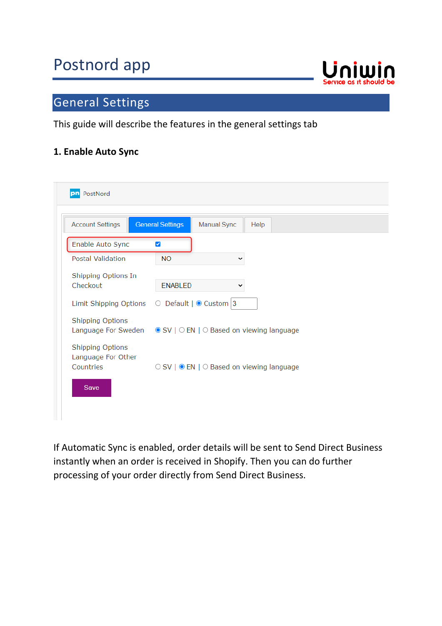## Postnord app



## General Settings

This guide will describe the features in the general settings tab

#### **1. Enable Auto Sync**

| pn PostNord                                                |                                                             |
|------------------------------------------------------------|-------------------------------------------------------------|
| <b>Account Settings</b>                                    | <b>General Settings</b><br><b>Manual Sync</b><br>Help       |
| Enable Auto Sync                                           | $\blacktriangledown$                                        |
| <b>Postal Validation</b>                                   | <b>NO</b><br>◡                                              |
| Shipping Options In<br>Checkout                            | <b>ENABLED</b><br>v                                         |
| Limit Shipping Options                                     | $\circ$ Default   $\circ$ Custom   3                        |
| <b>Shipping Options</b><br>Language For Sweden             | $\circ$ SV   $\circ$ EN   $\circ$ Based on viewing language |
| <b>Shipping Options</b><br>Language For Other<br>Countries | ○ SV   ● EN   ○ Based on viewing language                   |
| Save                                                       |                                                             |
|                                                            |                                                             |

If Automatic Sync is enabled, order details will be sent to Send Direct Business instantly when an order is received in Shopify. Then you can do further processing of your order directly from Send Direct Business.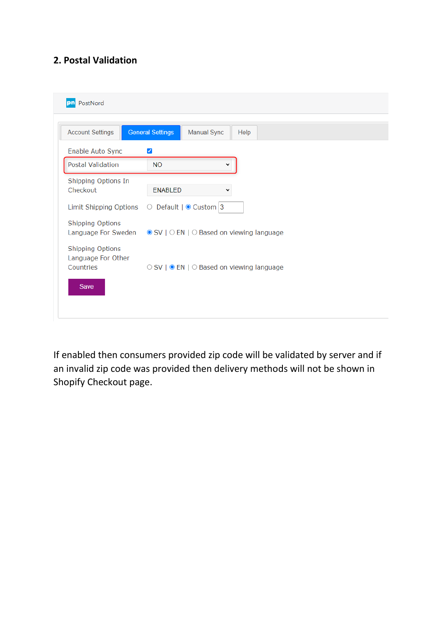### **2. Postal Validation**

| PostNord<br>pn                         |                                                                                 |
|----------------------------------------|---------------------------------------------------------------------------------|
| <b>Account Settings</b>                | <b>General Settings</b><br>Manual Sync<br>Help                                  |
| Enable Auto Sync                       | ✔                                                                               |
| <b>Postal Validation</b>               | <b>NO</b>                                                                       |
| Shipping Options In<br>Checkout        | <b>ENABLED</b>                                                                  |
| Limit Shipping Options O               | Default $\mid \bullet$ Custom 3                                                 |
| <b>Shipping Options</b>                | Language For Sweden $\circ$ SV   $\circ$ EN   $\circ$ Based on viewing language |
| Shipping Options<br>Language For Other |                                                                                 |
| Countries                              | ○ SV   ● EN   ○ Based on viewing language                                       |
| Save                                   |                                                                                 |
|                                        |                                                                                 |

If enabled then consumers provided zip code will be validated by server and if an invalid zip code was provided then delivery methods will not be shown in Shopify Checkout page.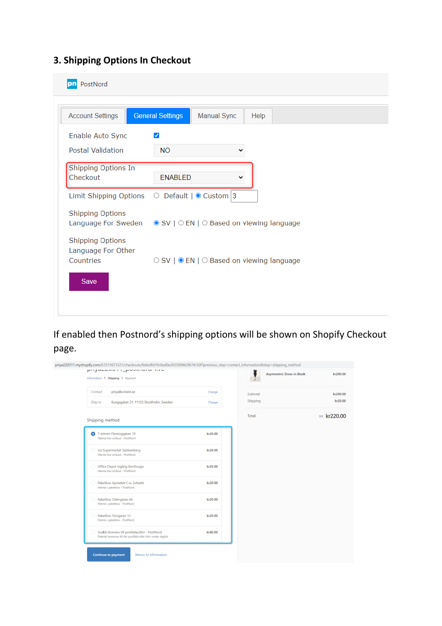## **3. Shipping Options In Checkout**

| PostNord<br>pn                                 |                                                               |
|------------------------------------------------|---------------------------------------------------------------|
| <b>Account Settings</b>                        | <b>General Settings</b><br>Manual Sync<br>Help                |
| Enable Auto Sync<br><b>Postal Validation</b>   | $\blacktriangledown$<br><b>NO</b>                             |
| Shipping Options In<br>Checkout                | <b>ENABLED</b>                                                |
|                                                | Limit Shipping Options $\bigcirc$ Default $\bigcirc$ Custom 3 |
| <b>Shipping Options</b><br>Language For Sweden | ● SV   ○ EN   ○ Based on viewing language                     |
| <b>Shipping Options</b><br>Language For Other  |                                                               |
| Countries                                      | ○ SV   ● EN   ○ Based on viewing language                     |
| Save                                           |                                                               |
|                                                |                                                               |

## If enabled then Postnord's shipping options will be shown on Shopify Checkout page.

| priya220311.myshopify.com/63315673321/checkouts/fe6edfd19c8ad0e265500862f674c50f?previous_step=contact_information&step=shipping_method |         |                                  |                     |
|-----------------------------------------------------------------------------------------------------------------------------------------|---------|----------------------------------|---------------------|
| PHYMELOUTH_POULHOLM TIVE<br>Information $\sum$ Shipping $\sum$ Payment                                                                  |         | <b>Asymmetric Dress in Black</b> | kr200.00            |
| priya@uniwin.se<br>Contact                                                                                                              | Change  | Subtotal                         | kr200.00            |
| Kungsgatan 21, 11123 Stockholm, Sweden<br>Ship to                                                                                       | Change  | Shipping                         | kr20.00             |
| Shipping method                                                                                                                         |         | Total                            | <b>SEK kr220.00</b> |
| 7-eleven Fleminggatan 19<br>o<br>Hämta hos ombud - PostNord                                                                             | kr20.00 |                                  |                     |
| Ica Supermarket Sabbatsberg<br>Hämta hos ombud - PostNord                                                                               | kr20.00 |                                  |                     |
| Office Depot Ingång Barnhusga<br>Hämta hos ombud - PostNord                                                                             | kr20.00 |                                  |                     |
| Paketbox Apoteket C.w. Scheele<br>Hämta i paketbox - PostNord                                                                           | kr20.00 |                                  |                     |
| Paketbox Odengatan 66<br>Hämta i paketbox - PostNord                                                                                    | kr20.00 |                                  |                     |
| Paketbox Torsgatan 13<br>Hämta i paketbox - PostNord                                                                                    | kr20.00 |                                  |                     |
| Snabb leverans till postlåda/dörr - PostNord<br>Paketet levereras till din postlåda eller dörr under dagtid                             | kr40.00 |                                  |                     |
| Return to information<br><b>Continue to payment</b>                                                                                     |         |                                  |                     |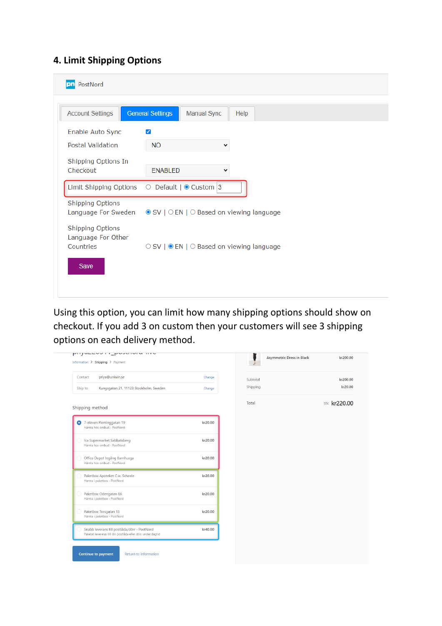#### **4. Limit Shipping Options**

| PostNord<br>pr                                |                                                                   |
|-----------------------------------------------|-------------------------------------------------------------------|
|                                               |                                                                   |
| <b>Account Settings</b>                       | <b>General Settings</b><br><b>Manual Sync</b><br>Help             |
| Enable Auto Sync                              | $\blacktriangledown$                                              |
| Postal Validation                             | <b>NO</b><br>丷                                                    |
| Shipping Options In                           |                                                                   |
| Checkout                                      | <b>ENABLED</b><br>v                                               |
|                                               | Limit Shipping Options $\bigcirc$ Default   $\bigcirc$ Custom   3 |
| <b>Shipping Options</b>                       |                                                                   |
| Language For Sweden                           | $\bullet$ SV   $\circ$ EN   $\circ$ Based on viewing language     |
| <b>Shipping Options</b><br>Language For Other |                                                                   |
| Countries                                     | ○ SV   ● EN   ○ Based on viewing language                         |
| Save                                          |                                                                   |
|                                               |                                                                   |
|                                               |                                                                   |

Using this option, you can limit how many shipping options should show on checkout. If you add 3 on custom then your customers will see 3 shipping options on each delivery method.

| <b>AUARERAL LARGER HAR</b><br>Information $\geq$ Shipping $\geq$ Payment                                    |         | <b>Asymmetric Dress in Black</b> |                     |
|-------------------------------------------------------------------------------------------------------------|---------|----------------------------------|---------------------|
| priya@uniwin.se<br>Contact                                                                                  | Change  | Subtotal                         |                     |
| Kungsgatan 21, 11123 Stockholm, Sweden<br>Ship to                                                           | Change  | Shipping                         |                     |
| Shipping method                                                                                             |         | Total                            | <b>SEK kr220.00</b> |
| 7-eleven Fleminggatan 19<br>Hämta hos ombud - PostNord                                                      | kr20.00 |                                  |                     |
| Ica Supermarket Sabbatsberg<br>Hämta hos ombud - PostNord                                                   | kr20.00 |                                  |                     |
| Office Depot Ingång Barnhusga<br>Hämta hos ombud - PostNord                                                 | kr20.00 |                                  |                     |
| Paketbox Apoteket C.w. Scheele<br>Hämta i paketbox - PostNord                                               | kr20.00 |                                  |                     |
| Paketbox Odengatan 66<br>Hämta i paketbox - PostNord                                                        | kr20.00 |                                  |                     |
| Paketbox Torsgatan 13<br>Hämta i paketbox - PostNord                                                        | kr20.00 |                                  |                     |
| Snabb leverans till postlåda/dörr - PostNord<br>Paketet levereras till din postlåda eller dörr under dagtid | kr40.00 |                                  |                     |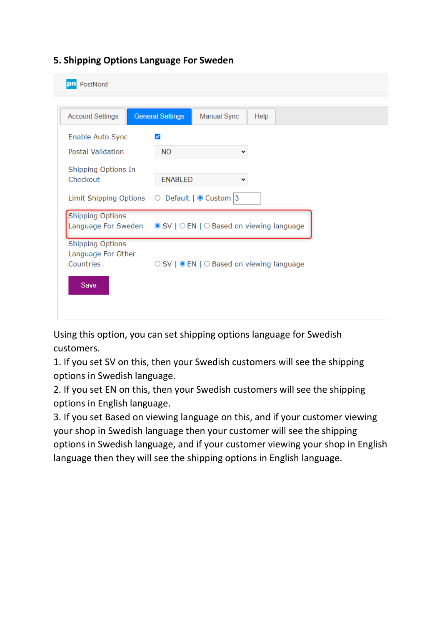#### **5. Shipping Options Language For Sweden**

| PostNord<br>pn                                             |                                                               |
|------------------------------------------------------------|---------------------------------------------------------------|
| <b>Account Settings</b>                                    | <b>General Settings</b><br><b>Manual Sync</b><br>Help         |
| Enable Auto Sync                                           | $\blacktriangledown$                                          |
| <b>Postal Validation</b>                                   | <b>NO</b><br>v                                                |
| Shipping Options In<br>Checkout                            | <b>ENABLED</b><br>╰                                           |
|                                                            | Limit Shipping Options $\bigcirc$ Default $\bigcirc$ Custom 3 |
| <b>Shipping Options</b><br>Language For Sweden             | ● SV   ○ EN   ○ Based on viewing language                     |
| <b>Shipping Options</b><br>Language For Other<br>Countries | ○ SV   ● EN   ○ Based on viewing language                     |
| Save                                                       |                                                               |
|                                                            |                                                               |

Using this option, you can set shipping options language for Swedish customers.

1. If you set SV on this, then your Swedish customers will see the shipping options in Swedish language.

2. If you set EN on this, then your Swedish customers will see the shipping options in English language.

3. If you set Based on viewing language on this, and if your customer viewing your shop in Swedish language then your customer will see the shipping options in Swedish language, and if your customer viewing your shop in English language then they will see the shipping options in English language.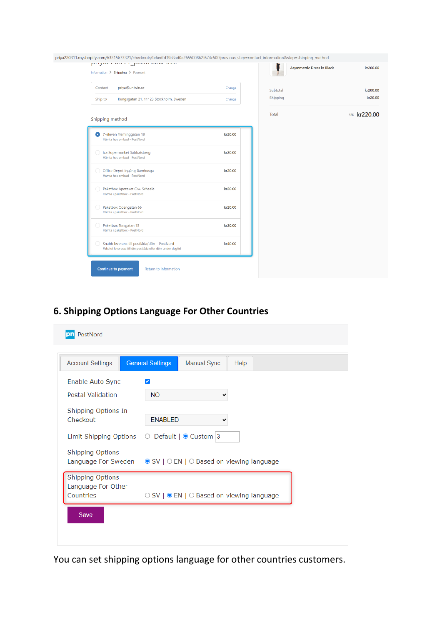| kr200.00            | <b>Asymmetric Dress in Black</b> |          |         | PUSSED DESCRIPTION INTO                                                                                     |
|---------------------|----------------------------------|----------|---------|-------------------------------------------------------------------------------------------------------------|
|                     |                                  |          |         | Information > Shipping > Payment                                                                            |
| kr200.00            |                                  | Subtotal | Change  | priya@uniwin.se<br>Contact                                                                                  |
| kr20.00             |                                  | Shipping | Change  | Kungsgatan 21, 11123 Stockholm, Sweden<br>Ship to                                                           |
| <b>SEK kr220.00</b> |                                  | Total    |         | Shipping method                                                                                             |
|                     |                                  |          | kr20.00 | 7-eleven Fleminggatan 19<br>Hämta hos ombud - PostNord                                                      |
|                     |                                  |          | kr20.00 | Ica Supermarket Sabbatsberg<br>Hämta hos ombud - PostNord                                                   |
|                     |                                  |          | kr20.00 | Office Depot Ingång Barnhusga<br>Hämta hos ombud - PostNord                                                 |
|                     |                                  |          | kr20.00 | Paketbox Apoteket C.w. Scheele<br>Hämta i paketbox - PostNord                                               |
|                     |                                  |          | kr20.00 | Paketbox Odengatan 66<br>Hämta i paketbox - PostNord                                                        |
|                     |                                  |          | kr20.00 | Paketbox Torsgatan 13<br>Hämta i paketbox - PostNord                                                        |
|                     |                                  |          | kr40.00 | Snabb leverans till postlåda/dörr - PostNord<br>Paketet levereras till din postlåda eller dörr under dagtid |

## **6. Shipping Options Language For Other Countries**

| Enable Auto Sync                                                                                             |                                      |                                           |  |  |
|--------------------------------------------------------------------------------------------------------------|--------------------------------------|-------------------------------------------|--|--|
|                                                                                                              | $\blacktriangledown$                 |                                           |  |  |
| Postal Validation                                                                                            | <b>NO</b>                            |                                           |  |  |
| Shipping Options In<br>Checkout                                                                              | <b>ENABLED</b>                       |                                           |  |  |
| Limit Shipping Options                                                                                       | $\circ$ Default   $\circ$ Custom   3 |                                           |  |  |
| <b>Shipping Options</b><br>Language For Sweden $\bullet$ SV   $\circ$ EN   $\circ$ Based on viewing language |                                      |                                           |  |  |
| <b>Shipping Options</b><br>Language For Other                                                                |                                      |                                           |  |  |
| Countries                                                                                                    |                                      | ○ SV   ● EN   ○ Based on viewing language |  |  |

You can set shipping options language for other countries customers.